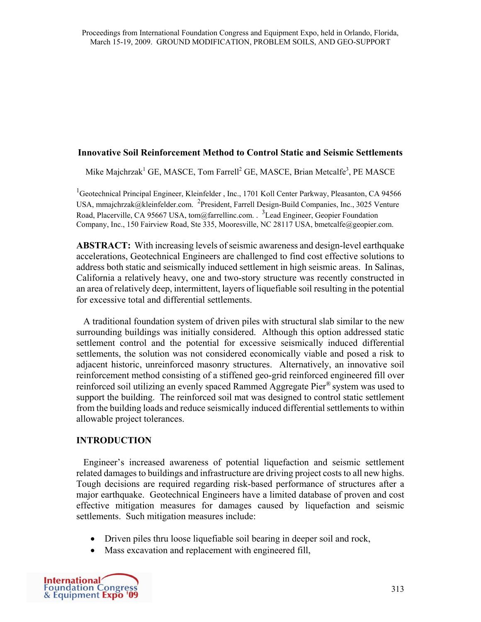#### **Innovative Soil Reinforcement Method to Control Static and Seismic Settlements**

Mike Majchrzak<sup>1</sup> GE, MASCE, Tom Farrell<sup>2</sup> GE, MASCE, Brian Metcalfe<sup>3</sup>, PE MASCE

<sup>1</sup>Geotechnical Principal Engineer, Kleinfelder, Inc., 1701 Koll Center Parkway, Pleasanton, CA 94566 USA, mmajchrzak@kleinfelder.com. <sup>2</sup>President, Farrell Design-Build Companies, Inc., 3025 Venture Road, Placerville, CA 95667 USA, tom@farrellinc.com. . <sup>3</sup> Lead Engineer, Geopier Foundation Company, Inc., 150 Fairview Road, Ste 335, Mooresville, NC 28117 USA, bmetcalfe@geopier.com.

**ABSTRACT:** With increasing levels of seismic awareness and design-level earthquake accelerations, Geotechnical Engineers are challenged to find cost effective solutions to address both static and seismically induced settlement in high seismic areas. In Salinas, California a relatively heavy, one and two-story structure was recently constructed in an area of relatively deep, intermittent, layers of liquefiable soil resulting in the potential for excessive total and differential settlements.

 A traditional foundation system of driven piles with structural slab similar to the new surrounding buildings was initially considered. Although this option addressed static settlement control and the potential for excessive seismically induced differential settlements, the solution was not considered economically viable and posed a risk to adjacent historic, unreinforced masonry structures. Alternatively, an innovative soil reinforcement method consisting of a stiffened geo-grid reinforced engineered fill over reinforced soil utilizing an evenly spaced Rammed Aggregate Pier ® system was used to support the building. The reinforced soil mat was designed to control static settlement from the building loads and reduce seismically induced differential settlements to within allowable project tolerances.

## **INTRODUCTION**

 Engineer's increased awareness of potential liquefaction and seismic settlement related damages to buildings and infrastructure are driving project costs to all new highs. Tough decisions are required regarding risk-based performance of structures after a major earthquake. Geotechnical Engineers have a limited database of proven and cost effective mitigation measures for damages caused by liquefaction and seismic settlements. Such mitigation measures include:

- Driven piles thru loose liquefiable soil bearing in deeper soil and rock,
- Mass excavation and replacement with engineered fill,

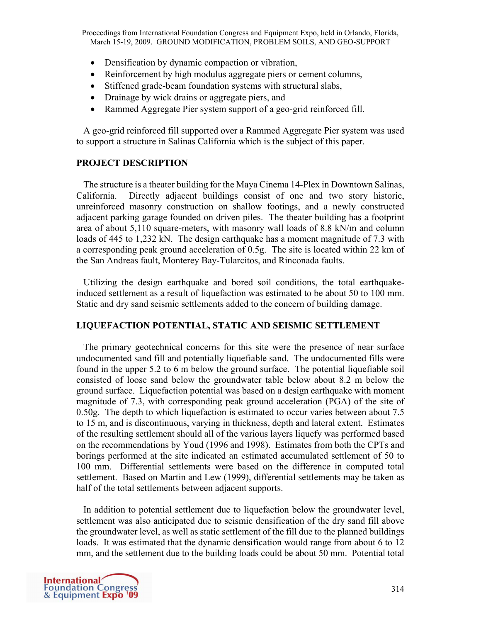Proceedings from International Foundation Congress and Equipment Expo, held in Orlando, Florida, March 15-19, 2009. GROUND MODIFICATION, PROBLEM SOILS, AND GEO-SUPPORT

- Densification by dynamic compaction or vibration,
- Reinforcement by high modulus aggregate piers or cement columns,
- Stiffened grade-beam foundation systems with structural slabs,
- Drainage by wick drains or aggregate piers, and
- Rammed Aggregate Pier system support of a geo-grid reinforced fill.

 A geo-grid reinforced fill supported over a Rammed Aggregate Pier system was used to support a structure in Salinas California which is the subject of this paper.

#### **PROJECT DESCRIPTION**

 The structure is a theater building for the Maya Cinema 14-Plex in Downtown Salinas, California. Directly adjacent buildings consist of one and two story historic, unreinforced masonry construction on shallow footings, and a newly constructed adjacent parking garage founded on driven piles. The theater building has a footprint area of about 5,110 square-meters, with masonry wall loads of 8.8 kN/m and column loads of 445 to 1,232 kN. The design earthquake has a moment magnitude of 7.3 with a corresponding peak ground acceleration of 0.5g. The site is located within 22 km of the San Andreas fault, Monterey Bay-Tularcitos, and Rinconada faults.

 Utilizing the design earthquake and bored soil conditions, the total earthquakeinduced settlement as a result of liquefaction was estimated to be about 50 to 100 mm. Static and dry sand seismic settlements added to the concern of building damage.

## **LIQUEFACTION POTENTIAL, STATIC AND SEISMIC SETTLEMENT**

The primary geotechnical concerns for this site were the presence of near surface undocumented sand fill and potentially liquefiable sand. The undocumented fills were found in the upper 5.2 to 6 m below the ground surface. The potential liquefiable soil consisted of loose sand below the groundwater table below about 8.2 m below the ground surface. Liquefaction potential was based on a design earthquake with moment magnitude of 7.3, with corresponding peak ground acceleration (PGA) of the site of 0.50g. The depth to which liquefaction is estimated to occur varies between about 7.5 to 15 m, and is discontinuous, varying in thickness, depth and lateral extent. Estimates of the resulting settlement should all of the various layers liquefy was performed based on the recommendations by Youd (1996 and 1998). Estimates from both the CPTs and borings performed at the site indicated an estimated accumulated settlement of 50 to 100 mm. Differential settlements were based on the difference in computed total settlement. Based on Martin and Lew (1999), differential settlements may be taken as half of the total settlements between adjacent supports.

 In addition to potential settlement due to liquefaction below the groundwater level, settlement was also anticipated due to seismic densification of the dry sand fill above the groundwater level, as well as static settlement of the fill due to the planned buildings loads. It was estimated that the dynamic densification would range from about 6 to 12 mm, and the settlement due to the building loads could be about 50 mm. Potential total

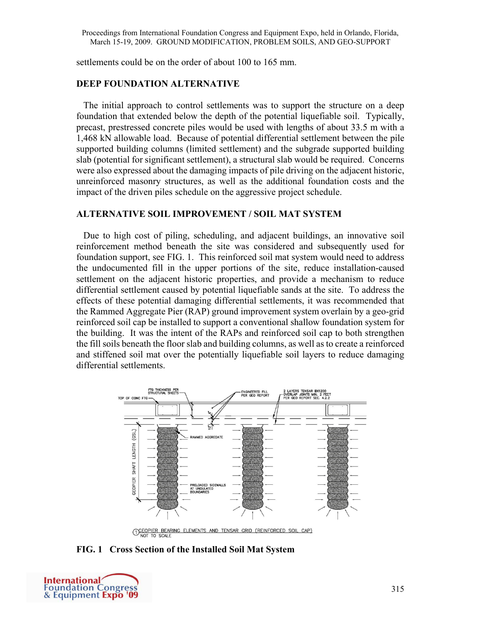settlements could be on the order of about 100 to 165 mm.

## **DEEP FOUNDATION ALTERNATIVE**

 The initial approach to control settlements was to support the structure on a deep foundation that extended below the depth of the potential liquefiable soil. Typically, precast, prestressed concrete piles would be used with lengths of about 33.5 m with a 1,468 kN allowable load. Because of potential differential settlement between the pile supported building columns (limited settlement) and the subgrade supported building slab (potential for significant settlement), a structural slab would be required. Concerns were also expressed about the damaging impacts of pile driving on the adjacent historic, unreinforced masonry structures, as well as the additional foundation costs and the impact of the driven piles schedule on the aggressive project schedule.

## **ALTERNATIVE SOIL IMPROVEMENT / SOIL MAT SYSTEM**

 Due to high cost of piling, scheduling, and adjacent buildings, an innovative soil reinforcement method beneath the site was considered and subsequently used for foundation support, see FIG. 1. This reinforced soil mat system would need to address the undocumented fill in the upper portions of the site, reduce installation-caused settlement on the adjacent historic properties, and provide a mechanism to reduce differential settlement caused by potential liquefiable sands at the site. To address the effects of these potential damaging differential settlements, it was recommended that the Rammed Aggregate Pier (RAP) ground improvement system overlain by a geo-grid reinforced soil cap be installed to support a conventional shallow foundation system for the building. It was the intent of the RAPs and reinforced soil cap to both strengthen the fill soils beneath the floor slab and building columns, as well as to create a reinforced and stiffened soil mat over the potentially liquefiable soil layers to reduce damaging differential settlements.



O COPIER BEARING ELEMENTS AND TENSAR GRID (REINFORCED SOIL CAP)

**FIG. 1 Cross Section of the Installed Soil Mat System** 

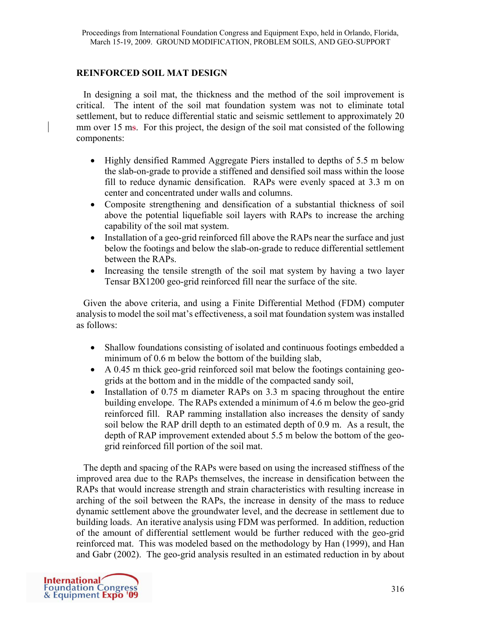# **REINFORCED SOIL MAT DESIGN**

 In designing a soil mat, the thickness and the method of the soil improvement is critical. The intent of the soil mat foundation system was not to eliminate total settlement, but to reduce differential static and seismic settlement to approximately 20 mm over 15 ms. For this project, the design of the soil mat consisted of the following components:

- Highly densified Rammed Aggregate Piers installed to depths of 5.5 m below the slab-on-grade to provide a stiffened and densified soil mass within the loose fill to reduce dynamic densification. RAPs were evenly spaced at 3.3 m on center and concentrated under walls and columns.
- Composite strengthening and densification of a substantial thickness of soil above the potential liquefiable soil layers with RAPs to increase the arching capability of the soil mat system.
- Installation of a geo-grid reinforced fill above the RAPs near the surface and just below the footings and below the slab-on-grade to reduce differential settlement between the RAPs.
- Increasing the tensile strength of the soil mat system by having a two layer Tensar BX1200 geo-grid reinforced fill near the surface of the site.

 Given the above criteria, and using a Finite Differential Method (FDM) computer analysis to model the soil mat's effectiveness, a soil mat foundation system was installed as follows:

- Shallow foundations consisting of isolated and continuous footings embedded a minimum of 0.6 m below the bottom of the building slab,
- A 0.45 m thick geo-grid reinforced soil mat below the footings containing geogrids at the bottom and in the middle of the compacted sandy soil,
- Installation of 0.75 m diameter RAPs on 3.3 m spacing throughout the entire building envelope. The RAPs extended a minimum of 4.6 m below the geo-grid reinforced fill. RAP ramming installation also increases the density of sandy soil below the RAP drill depth to an estimated depth of 0.9 m. As a result, the depth of RAP improvement extended about 5.5 m below the bottom of the geogrid reinforced fill portion of the soil mat.

 The depth and spacing of the RAPs were based on using the increased stiffness of the improved area due to the RAPs themselves, the increase in densification between the RAPs that would increase strength and strain characteristics with resulting increase in arching of the soil between the RAPs, the increase in density of the mass to reduce dynamic settlement above the groundwater level, and the decrease in settlement due to building loads. An iterative analysis using FDM was performed. In addition, reduction of the amount of differential settlement would be further reduced with the geo-grid reinforced mat. This was modeled based on the methodology by Han (1999), and Han and Gabr (2002). The geo-grid analysis resulted in an estimated reduction in by about

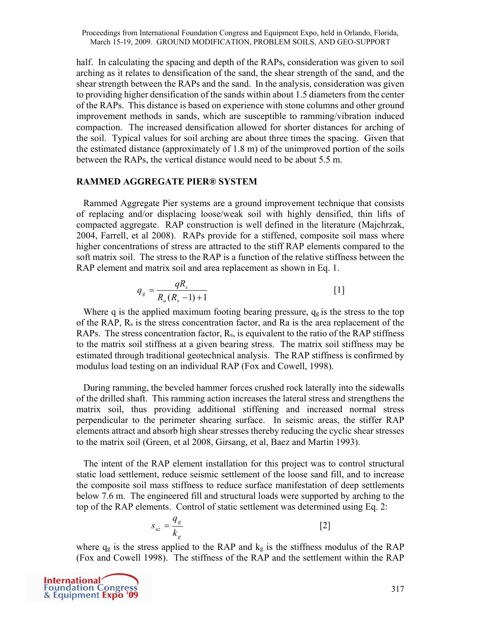half. In calculating the spacing and depth of the RAPs, consideration was given to soil arching as it relates to densification of the sand, the shear strength of the sand, and the shear strength between the RAPs and the sand. In the analysis, consideration was given to providing higher densification of the sands within about 1.5 diameters from the center of the RAPs. This distance is based on experience with stone columns and other ground improvement methods in sands, which are susceptible to ramming/vibration induced compaction. The increased densification allowed for shorter distances for arching of the soil. Typical values for soil arching are about three times the spacing. Given that the estimated distance (approximately of 1.8 m) of the unimproved portion of the soils between the RAPs, the vertical distance would need to be about 5.5 m.

#### **RAMMED AGGREGATE PIER® SYSTEM**

 Rammed Aggregate Pier systems are a ground improvement technique that consists of replacing and/or displacing loose/weak soil with highly densified, thin lifts of compacted aggregate. RAP construction is well defined in the literature (Majchrzak, 2004, Farrell, et al 2008). RAPs provide for a stiffened, composite soil mass where higher concentrations of stress are attracted to the stiff RAP elements compared to the soft matrix soil. The stress to the RAP is a function of the relative stiffness between the RAP element and matrix soil and area replacement as shown in Eq. 1.

$$
q_g = \frac{qR_s}{R_a(R_s - 1) + 1} \tag{1}
$$

Where q is the applied maximum footing bearing pressure,  $q<sub>g</sub>$  is the stress to the top of the RAP,  $R_s$  is the stress concentration factor, and Ra is the area replacement of the RAPs. The stress concentration factor,  $R_s$ , is equivalent to the ratio of the RAP stiffness to the matrix soil stiffness at a given bearing stress. The matrix soil stiffness may be estimated through traditional geotechnical analysis. The RAP stiffness is confirmed by modulus load testing on an individual RAP (Fox and Cowell, 1998).

 During ramming, the beveled hammer forces crushed rock laterally into the sidewalls of the drilled shaft. This ramming action increases the lateral stress and strengthens the matrix soil, thus providing additional stiffening and increased normal stress perpendicular to the perimeter shearing surface. In seismic areas, the stiffer RAP elements attract and absorb high shear stresses thereby reducing the cyclic shear stresses to the matrix soil (Green, et al 2008, Girsang, et al, Baez and Martin 1993).

 The intent of the RAP element installation for this project was to control structural static load settlement, reduce seismic settlement of the loose sand fill, and to increase the composite soil mass stiffness to reduce surface manifestation of deep settlements below 7.6 m. The engineered fill and structural loads were supported by arching to the top of the RAP elements. Control of static settlement was determined using Eq. 2:

$$
s_{uz} = \frac{q_g}{k_g} \tag{2}
$$

where  $q_g$  is the stress applied to the RAP and  $k_g$  is the stiffness modulus of the RAP (Fox and Cowell 1998). The stiffness of the RAP and the settlement within the RAP

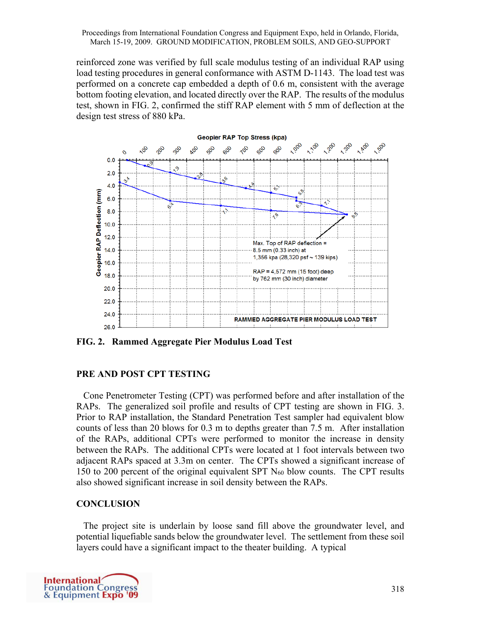reinforced zone was verified by full scale modulus testing of an individual RAP using load testing procedures in general conformance with ASTM D-1143. The load test was performed on a concrete cap embedded a depth of 0.6 m, consistent with the average bottom footing elevation, and located directly over the RAP. The results of the modulus test, shown in FIG. 2, confirmed the stiff RAP element with 5 mm of deflection at the design test stress of 880 kPa.



**FIG. 2. Rammed Aggregate Pier Modulus Load Test** 

# **PRE AND POST CPT TESTING**

 Cone Penetrometer Testing (CPT) was performed before and after installation of the RAPs. The generalized soil profile and results of CPT testing are shown in FIG. 3. Prior to RAP installation, the Standard Penetration Test sampler had equivalent blow counts of less than 20 blows for 0.3 m to depths greater than 7.5 m. After installation of the RAPs, additional CPTs were performed to monitor the increase in density between the RAPs. The additional CPTs were located at 1 foot intervals between two adjacent RAPs spaced at 3.3m on center. The CPTs showed a significant increase of 150 to 200 percent of the original equivalent SPT  $N_{60}$  blow counts. The CPT results also showed significant increase in soil density between the RAPs.

# **CONCLUSION**

 The project site is underlain by loose sand fill above the groundwater level, and potential liquefiable sands below the groundwater level. The settlement from these soil layers could have a significant impact to the theater building. A typical

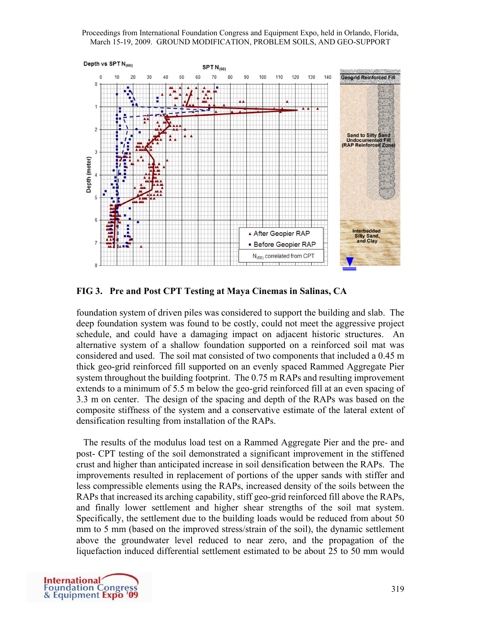Proceedings from International Foundation Congress and Equipment Expo, held in Orlando, Florida, March 15-19, 2009. GROUND MODIFICATION, PROBLEM SOILS, AND GEO-SUPPORT



**FIG 3. Pre and Post CPT Testing at Maya Cinemas in Salinas, CA** 

foundation system of driven piles was considered to support the building and slab. The deep foundation system was found to be costly, could not meet the aggressive project schedule, and could have a damaging impact on adjacent historic structures. An alternative system of a shallow foundation supported on a reinforced soil mat was considered and used. The soil mat consisted of two components that included a 0.45 m thick geo-grid reinforced fill supported on an evenly spaced Rammed Aggregate Pier system throughout the building footprint. The 0.75 m RAPs and resulting improvement extends to a minimum of 5.5 m below the geo-grid reinforced fill at an even spacing of 3.3 m on center. The design of the spacing and depth of the RAPs was based on the composite stiffness of the system and a conservative estimate of the lateral extent of densification resulting from installation of the RAPs.

 The results of the modulus load test on a Rammed Aggregate Pier and the pre- and post- CPT testing of the soil demonstrated a significant improvement in the stiffened crust and higher than anticipated increase in soil densification between the RAPs. The improvements resulted in replacement of portions of the upper sands with stiffer and less compressible elements using the RAPs, increased density of the soils between the RAPs that increased its arching capability, stiff geo-grid reinforced fill above the RAPs, and finally lower settlement and higher shear strengths of the soil mat system. Specifically, the settlement due to the building loads would be reduced from about 50 mm to 5 mm (based on the improved stress/strain of the soil), the dynamic settlement above the groundwater level reduced to near zero, and the propagation of the liquefaction induced differential settlement estimated to be about 25 to 50 mm would